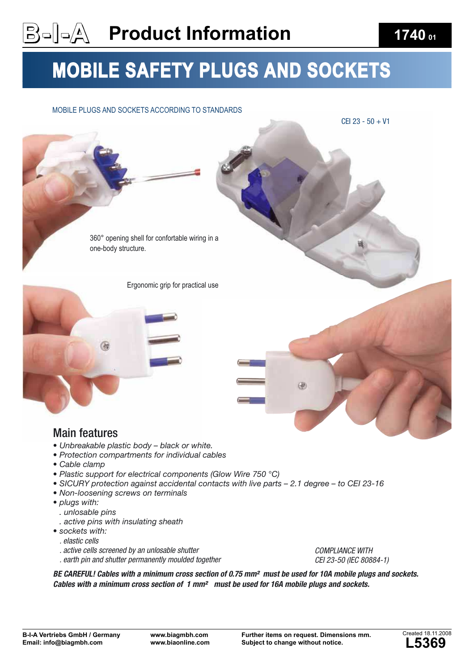#### **Product Information 1740 <sup>01</sup>**

### MOBILE SAFETY PLUGS AND SOCKETS

#### MOBILE PLUGS AND SOCKETS ACCORDING TO STANDARDS



- Unbreakable plastic body black or white.
- t*Protection compartments for individual cables*
- Cable clamp
- Plastic support for electrical components (Glow Wire 750 °C)
- SICURY protection against accidental contacts with live parts 2.1 degree to CEI 23-16
- t*Non-loosening screws on terminals*
- plugs with:
	- *. unlosable pins*
	- *. active pins with insulating sheath*
- sockets with:
- . elastic cells
- . active cells screened by an unlosable shutter
- . earth pin and shutter permanently moulded together

COMPLIANCE WITH CEI 23-50 (IEC 80884-1)

BE CAREFUL! Cables with a minimum cross section of 0.75 mm<sup>2</sup> must be used for 10A mobile plugs and sockets. Cables with a minimum cross section of 1 mm² must be used for 16A mobile plugs and sockets.

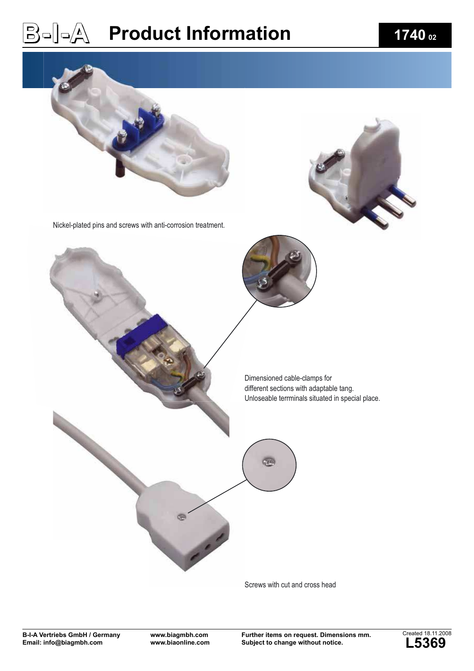# $\textbf{B} = \begin{bmatrix} 1-\sqrt{\lambda} & \textbf{Product}\end{bmatrix}$  **1740**  $\textbf{0}_{2}$



Screws with cut and cross head

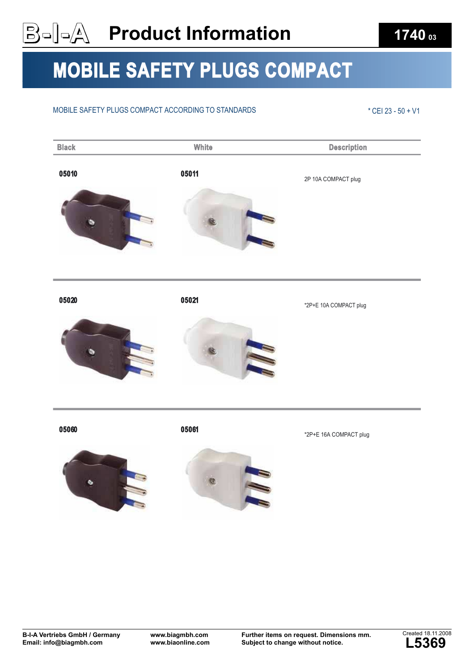### $\mathbf{B}$ = $\begin{bmatrix} -\mathbf{A} & \mathbf{Product}\ \mathbf{Information}\end{bmatrix}$  **1740**  $\mathbf{O}_{03}$

### MOBILE SAFETY PLUGS COMPACT

#### MOBILE SAFETY PLUGS COMPACT ACCORDING TO STANDARDS \* THE SAFETY PLUGS COMPACT ACCORDING TO STANDARDS



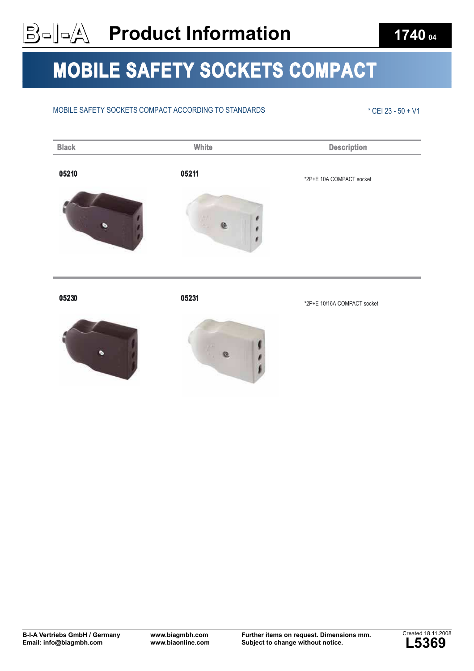## $\mathbf{B} = \begin{bmatrix} 1 & 0 & 0 \\ 0 & \mathbf{A} & \mathbf{B} \end{bmatrix}$  Product Information **1740** of

### MOBILE SAFETY SOCKETS COMPACT

#### MOBILE SAFETY SOCKETS COMPACT ACCORDING TO STANDARDS \* THE SAFETY SOCKETS COMPACT ACCORDING TO STANDARDS







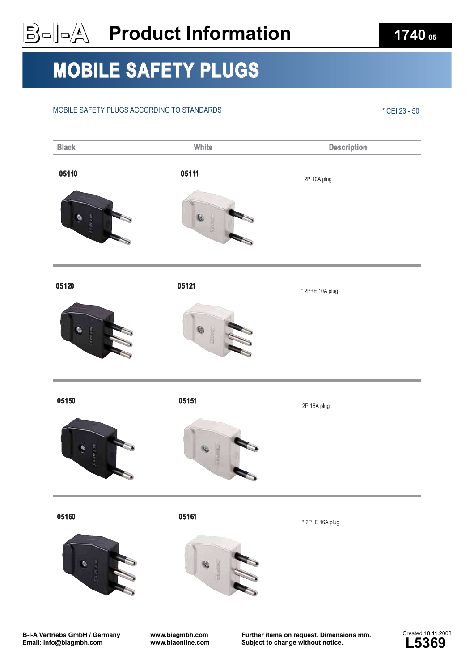# **Product Information 1740 05**

## MOBILE SAFETY PLUGS

#### MOBILE SAFETY PLUGS ACCORDING TO STANDARDS \* CEI 23 - 50

| <b>Black</b>                 | White                       | <b>Description</b> |
|------------------------------|-----------------------------|--------------------|
| 05110<br>ø<br><b>Crewam</b>  | 05111<br>C<br><b>RARZIN</b> | 2P 10A plug        |
| 05120<br>Ş.<br><b>ACONDA</b> | 05121<br>0<br>出口区           | * 2P+E 10A plug    |
| 05150<br>ą<br>Newpa          | 05151                       | 2P 16A plug        |
| 05160<br>ø                   | 05161                       | * 2P+E 16A plug    |

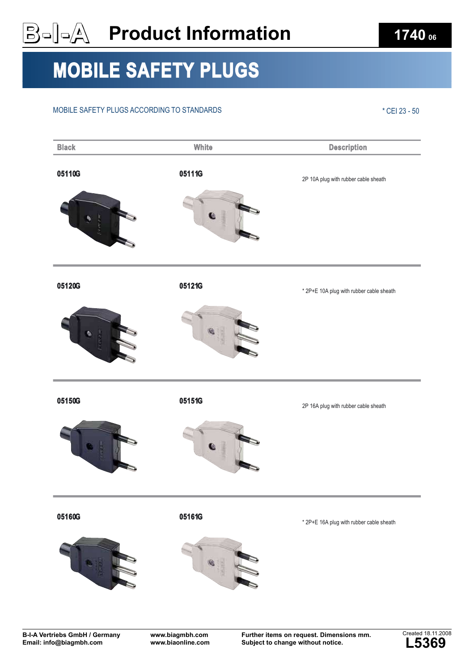# **Product Information** 1740 **06**

### MOBILE SAFETY PLUGS

#### MOBILE SAFETY PLUGS ACCORDING TO STANDARDS \* CEI 23 - 50

| <b>Black</b> | White  | <b>Description</b>                       |
|--------------|--------|------------------------------------------|
| 05110G       | 05111G | 2P 10A plug with rubber cable sheath     |
| 05120G       | 05121G | * 2P+E 10A plug with rubber cable sheath |
| 05150G       | 05151G | 2P 16A plug with rubber cable sheath     |
| 05160G       | 05161G | * 2P+E 16A plug with rubber cable sheath |

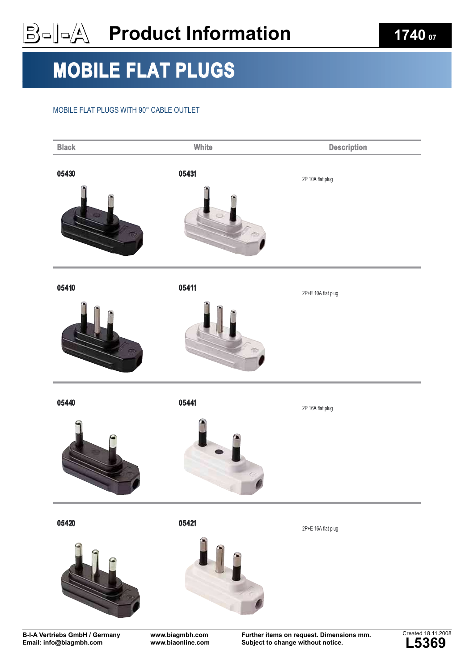## **Product Information 1740** or

## MOBILE FLAT PLUGS

#### MOBILE FLAT PLUGS WITH 90° CABLE OUTLET



**B-I-A Vertriebs GmbH / Germany Email: info@biagmbh.com**

**www.biaonline.com**

**Subject to change without notice.**

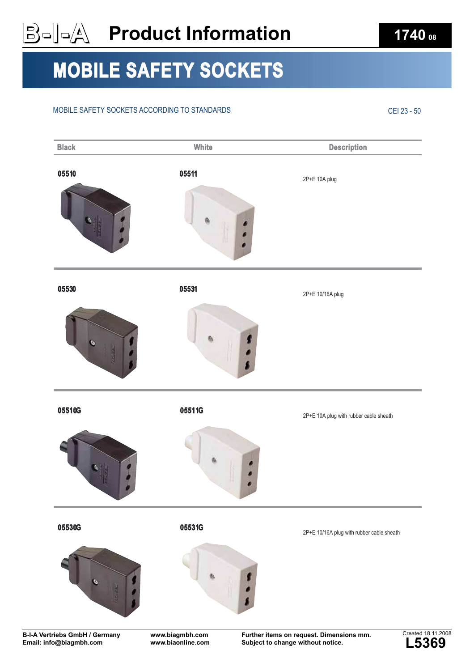# MOBILE SAFETY SOCKETS

#### MOBILE SAFETY SOCKETS ACCORDING TO STANDARDS CEI 23 - 50

05510 05511 2P+E 10A plug 05530 05531 2P+E 10/16A plug 05510G 05511G 2P+E 10A plug with rubber cable sheath 05530G 05531G 2P+E 10/16A plug with rubber cable sheath **Black Description Controllering Controllering Controllering Controllering Description** 

**B-I-A Vertriebs GmbH / Germany Email: info@biagmbh.com**

**www.biagmbh.com www.biaonline.com** **Further items on request. Dimensions mm. Subject to change without notice.**



 $\textbf{B} = \textbf{0}$  **Product Information 1740 1740 08**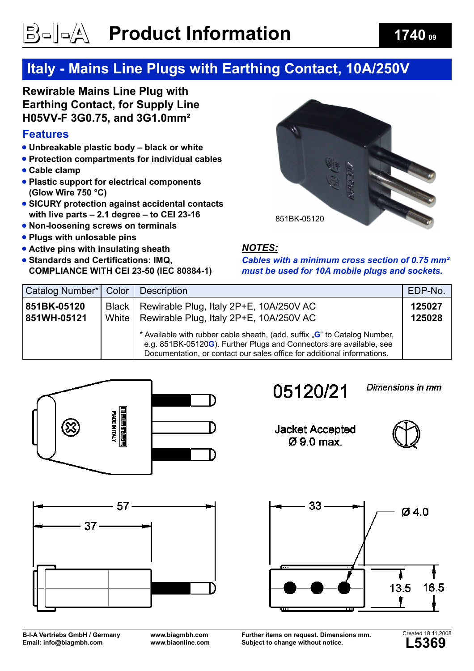# <u>B</u>aleA Product Information **1740 o**

#### **Italy - Mains Line Plugs with Earthing Contact, 10A/250V**

**Rewirable Mains Line Plug with Earthing Contact, for Supply Line H05VV-F 3G0.75, and 3G1.0mm²**

#### **Features**

- **Unbreakable plastic body black or white**
- **Protection compartments for individual cables**
- **Cable clamp**
- **Plastic support for electrical components (Glow Wire 750 °C)**
- **SICURY protection against accidental contacts with live parts – 2.1 degree – to CEI 23-16**
- **Non-loosening screws on terminals**
- **Plugs with unlosable pins**
- **Active pins with insulating sheath**
- **Standards and Certifications: IMQ, COMPLIANCE WITH CEI 23-50 (IEC 80884-1)**



#### *NOTES:*

*Cables with a minimum cross section of 0.75 mm² must be used for 10A mobile plugs and sockets.*

| Catalog Number*   Color    |                    | <b>Description</b>                                                                                                                                                                                                          | EDP-No.          |
|----------------------------|--------------------|-----------------------------------------------------------------------------------------------------------------------------------------------------------------------------------------------------------------------------|------------------|
| 851BK-05120<br>851WH-05121 | Black  <br>White I | Rewirable Plug, Italy 2P+E, 10A/250V AC<br>Rewirable Plug, Italy 2P+E, 10A/250V AC                                                                                                                                          | 125027<br>125028 |
|                            |                    | * Available with rubber cable sheath, (add. suffix "G" to Catalog Number,<br>e.g. 851BK-05120G). Further Plugs and Connectors are available, see<br>Documentation, or contact our sales office for additional informations. |                  |





#### 05120/21

Dimensions in mm

**Jacket Accepted**  $Q$ ,  $9$ ,  $0$ ,  $max$